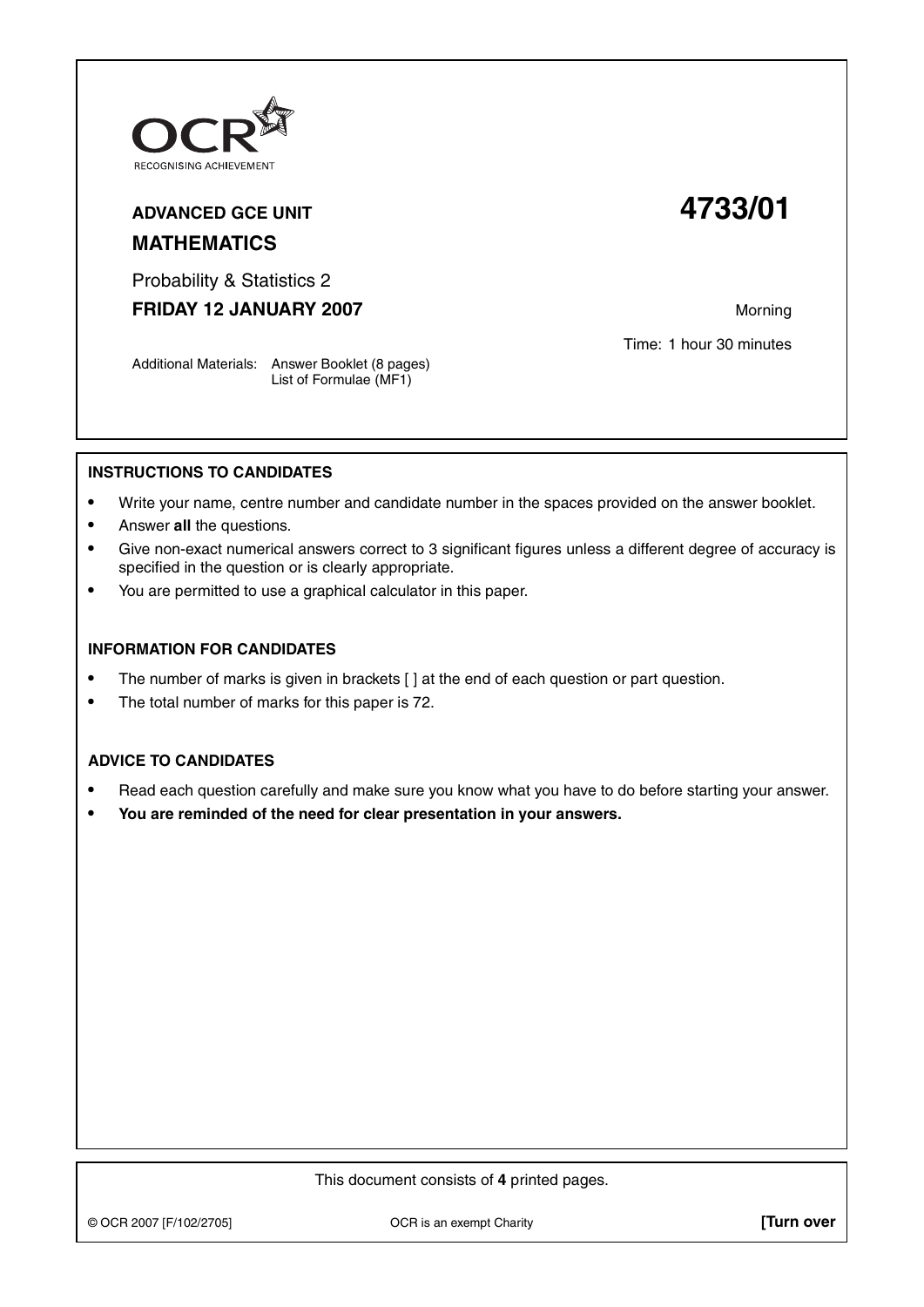

# **ADVANCED GCE UNIT 4733/01 MATHEMATICS**

Probability & Statistics 2

**FRIDAY 12 JANUARY 2007** Morning

Time: 1 hour 30 minutes

Additional Materials: Answer Booklet (8 pages) List of Formulae (MF1)

### **INSTRUCTIONS TO CANDIDATES**

- **•** Write your name, centre number and candidate number in the spaces provided on the answer booklet.
- **•** Answer **all** the questions.
- **•** Give non-exact numerical answers correct to 3 significant figures unless a different degree of accuracy is specified in the question or is clearly appropriate.
- **•** You are permitted to use a graphical calculator in this paper.

#### **INFORMATION FOR CANDIDATES**

- The number of marks is given in brackets [ ] at the end of each question or part question.
- **•** The total number of marks for this paper is 72.

## **ADVICE TO CANDIDATES**

- **•** Read each question carefully and make sure you know what you have to do before starting your answer.
- **• You are reminded of the need for clear presentation in your answers.**

This document consists of **4** printed pages.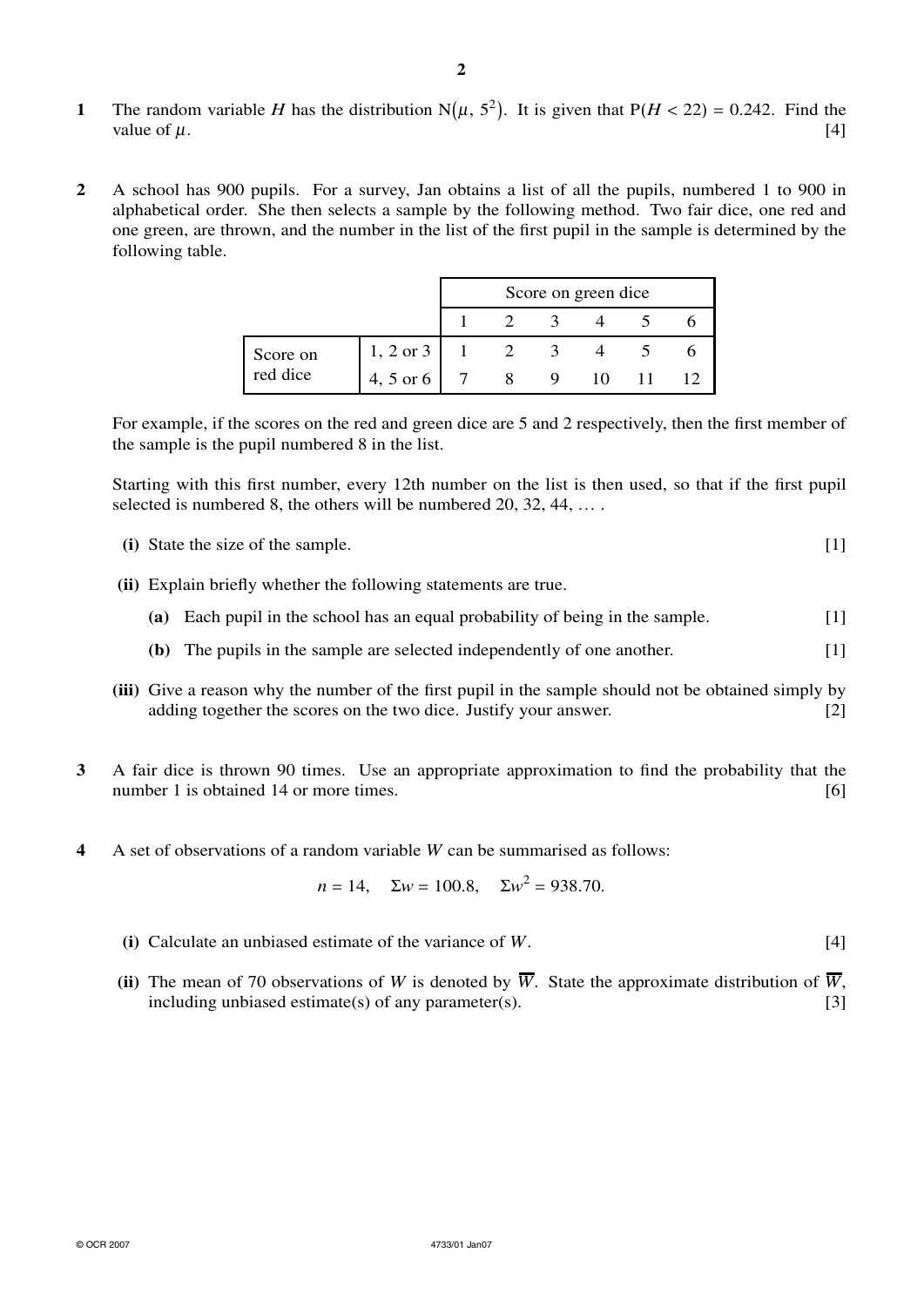- **1** The random variable *H* has the distribution N( $\mu$ ,  $5^2$ ). It is given that P( $H < 22$ ) = 0.242. Find the value of  $\mu$ . [4]
- **2** A school has 900 pupils. For a survey, Jan obtains a list of all the pupils, numbered 1 to 900 in alphabetical order. She then selects a sample by the following method. Two fair dice, one red and one green, are thrown, and the number in the list of the first pupil in the sample is determined by the following table.

|                      |                      | Score on green dice |  |  |  |  |
|----------------------|----------------------|---------------------|--|--|--|--|
|                      |                      |                     |  |  |  |  |
| Score on<br>red dice | $1, 2 \text{ or } 3$ |                     |  |  |  |  |
|                      | 4, 5 or 6            |                     |  |  |  |  |

For example, if the scores on the red and green dice are 5 and 2 respectively, then the first member of the sample is the pupil numbered 8 in the list.

Starting with this first number, every 12th number on the list is then used, so that if the first pupil selected is numbered 8, the others will be numbered 20, 32, 44, ...

| (i) State the size of the sample. |  |
|-----------------------------------|--|
|                                   |  |
|                                   |  |

- **(ii)** Explain briefly whether the following statements are true.
	- **(a)** Each pupil in the school has an equal probability of being in the sample. [1]
	- **(b)** The pupils in the sample are selected independently of one another. [1]
- **(iii)** Give a reason why the number of the first pupil in the sample should not be obtained simply by adding together the scores on the two dice. Justify your answer. [2]
- **3** A fair dice is thrown 90 times. Use an appropriate approximation to find the probability that the number 1 is obtained 14 or more times. [6]
- **4** A set of observations of a random variable *W* can be summarised as follows:

$$
n = 14
$$
,  $\Sigma w = 100.8$ ,  $\Sigma w^2 = 938.70$ .

- **(i)** Calculate an unbiased estimate of the variance of *W*. [4]
- (ii) The mean of 70 observations of *W* is denoted by  $\overline{W}$ . State the approximate distribution of  $\overline{W}$ , including unbiased estimate(s) of any parameter(s).  $[3]$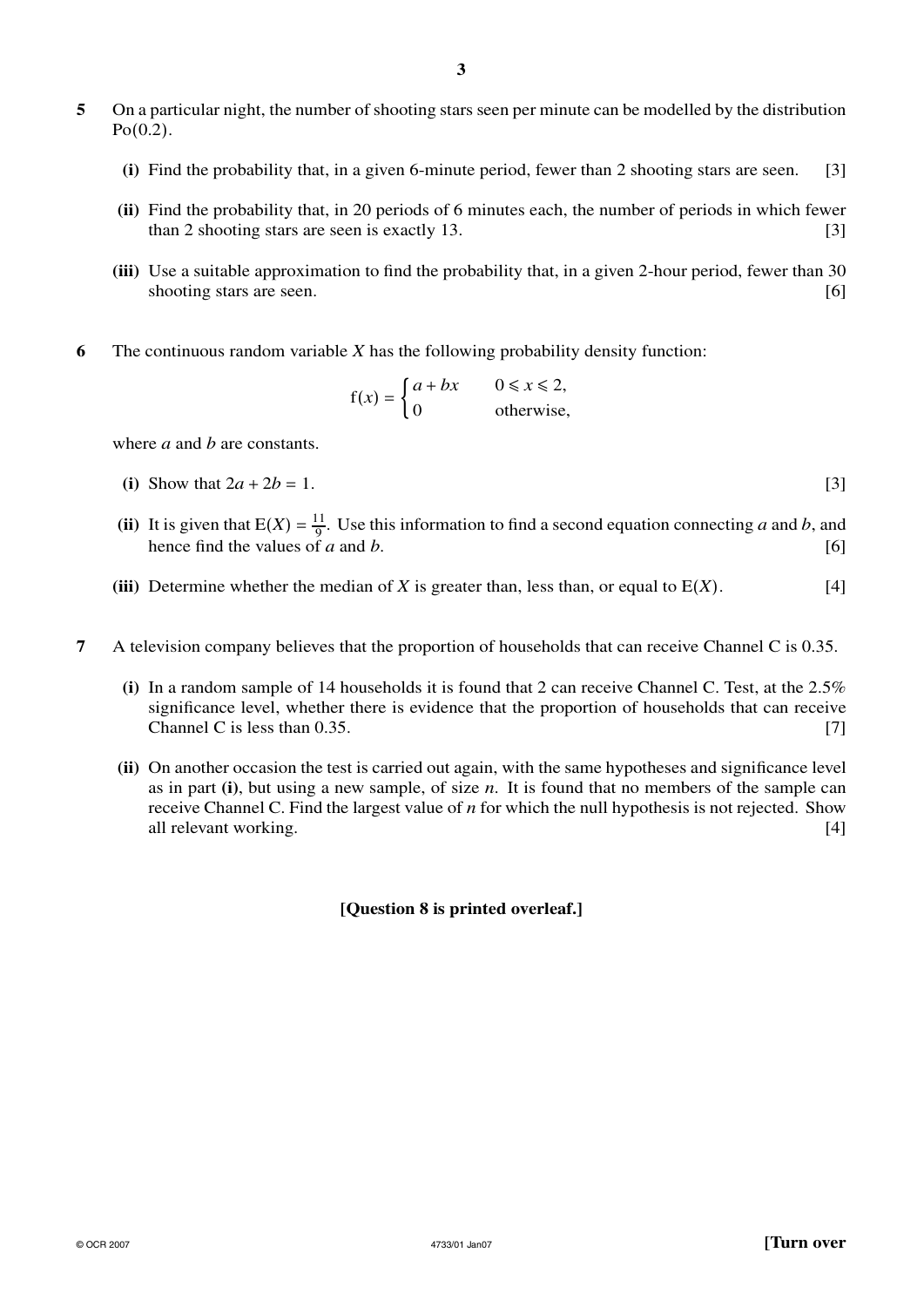- **5** On a particular night, the number of shooting stars seen per minute can be modelled by the distribution Po(0.2).
	- **(i)** Find the probability that, in a given 6-minute period, fewer than 2 shooting stars are seen. [3]
	- **(ii)** Find the probability that, in 20 periods of 6 minutes each, the number of periods in which fewer than 2 shooting stars are seen is exactly  $13$ . [3]
	- **(iii)** Use a suitable approximation to find the probability that, in a given 2-hour period, fewer than 30 shooting stars are seen. [6]
- **6** The continuous random variable *X* has the following probability density function:

$$
f(x) = \begin{cases} a + bx & 0 \le x \le 2, \\ 0 & \text{otherwise,} \end{cases}
$$

where *a* and *b* are constants.

- (i) Show that  $2a + 2b = 1$ . [3]
- (ii) It is given that  $E(X) = \frac{11}{9}$ . Use this information to find a second equation connecting *a* and *b*, and hence find the values of *a* and *b*. [6]
- **(iii)** Determine whether the median of *X* is greater than, less than, or equal to  $E(X)$ . [4]
- **7** A television company believes that the proportion of households that can receive Channel C is 0.35.
	- **(i)** In a random sample of 14 households it is found that 2 can receive Channel C. Test, at the 2.5% significance level, whether there is evidence that the proportion of households that can receive Channel C is less than  $0.35$ . [7]
	- **(ii)** On another occasion the test is carried out again, with the same hypotheses and significance level as in part **(i)**, but using a new sample, of size *n*. It is found that no members of the sample can receive Channel C. Find the largest value of *n* for which the null hypothesis is not rejected. Show all relevant working. [4] all relevant working.

## **[Question 8 is printed overleaf.]**